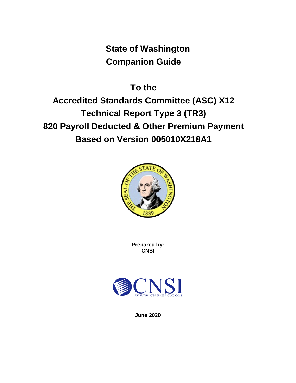**State of Washington Companion Guide**

**To the Accredited Standards Committee (ASC) X12 Technical Report Type 3 (TR3) 820 Payroll Deducted & Other Premium Payment Based on Version 005010X218A1**



**Prepared by: CNSI**



**June 2020**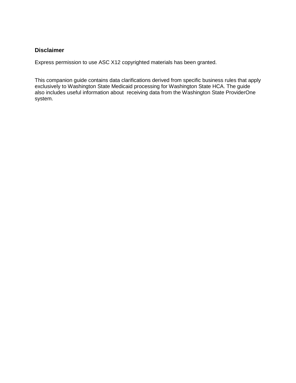#### <span id="page-1-0"></span>**Disclaimer**

Express permission to use ASC X12 copyrighted materials has been granted.

This companion guide contains data clarifications derived from specific business rules that apply exclusively to Washington State Medicaid processing for Washington State HCA. The guide also includes useful information about receiving data from the Washington State ProviderOne system.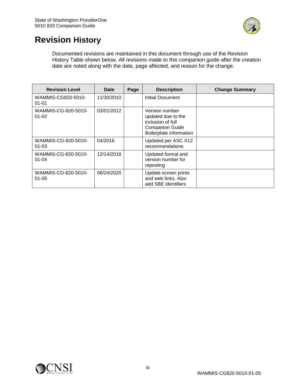

# <span id="page-2-0"></span>**Revision History**

Documented revisions are maintained in this document through use of the Revision History Table shown below. All revisions made to this companion guide after the creation date are noted along with the date, page affected, and reason for the change.

| <b>Revision Level</b>            | Date       | Page | <b>Description</b>                                                                                             | <b>Change Summary</b> |
|----------------------------------|------------|------|----------------------------------------------------------------------------------------------------------------|-----------------------|
| WAMMIS-CG820-5010-<br>$01 - 01$  | 11/30/2010 |      | Initial Document                                                                                               |                       |
| WAMMIS-CG-820-5010-<br>$01 - 02$ | 03/01/2012 |      | Version number<br>updated due to the<br>inclusion of full<br><b>Companion Guide</b><br>Boilerplate information |                       |
| WAMMIS-CG-820-5010-<br>$01 - 03$ | 04/2016    |      | Updated per ASC X12<br>recommendations                                                                         |                       |
| WAMMIS-CG-820-5010-<br>$01 - 04$ | 12/14/2018 |      | Updated format and<br>version number for<br>reposting                                                          |                       |
| WAMMIS-CG-820-5010-<br>$01 - 05$ | 06/24/2020 |      | Update screen prints<br>and web links. Also<br>add SBE identifiers                                             |                       |

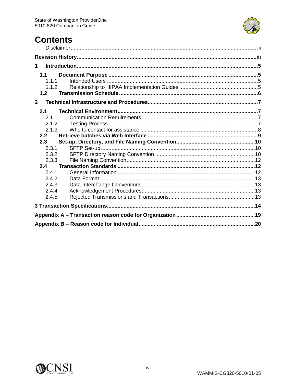

# **Contents**

| 1              |       |  |
|----------------|-------|--|
|                | 1.1   |  |
|                | 1.1.1 |  |
|                | 1.1.2 |  |
|                | 1.2   |  |
| $\overline{2}$ |       |  |
|                | 2.1   |  |
|                | 2.1.1 |  |
|                | 2.1.2 |  |
|                | 2.1.3 |  |
|                | 2.2   |  |
|                |       |  |
|                | 2.3   |  |
|                | 2.3.1 |  |
|                | 2.3.2 |  |
|                | 2.3.3 |  |
|                | 2.4   |  |
|                | 2.4.1 |  |
|                | 2.4.2 |  |
|                | 2.4.3 |  |
|                | 2.4.4 |  |
|                | 2.4.5 |  |
|                |       |  |
|                |       |  |

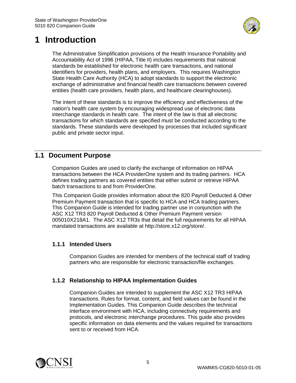

# <span id="page-4-0"></span>**1 Introduction**

The Administrative Simplification provisions of the Health Insurance Portability and Accountability Act of 1996 (HIPAA, Title II) includes requirements that national standards be established for electronic health care transactions, and national identifiers for providers, health plans, and employers. This requires Washington State Health Care Authority (HCA) to adopt standards to support the electronic exchange of administrative and financial health care transactions between covered entities (health care providers, health plans, and healthcare clearinghouses).

The intent of these standards is to improve the efficiency and effectiveness of the nation's health care system by encouraging widespread use of electronic data interchange standards in health care. The intent of the law is that all electronic transactions for which standards are specified must be conducted according to the standards. These standards were developed by processes that included significant public and private sector input.

## <span id="page-4-1"></span>**1.1 Document Purpose**

Companion Guides are used to clarify the exchange of information on HIPAA transactions between the HCA ProviderOne system and its trading partners. HCA defines trading partners as covered entities that either submit or retrieve HIPAA batch transactions to and from ProviderOne.

This Companion Guide provides information about the 820 Payroll Deducted & Other Premium Payment transaction that is specific to HCA and HCA trading partners. This Companion Guide is intended for trading partner use in conjunction with the ASC X12 TR3 820 Payroll Deducted & Other Premium Payment version 005010X218A1. The ASC X12 TR3s that detail the full requirements for all HIPAA mandated transactions are available at http://store.x12.org/store/.

## <span id="page-4-2"></span>**1.1.1 Intended Users**

Companion Guides are intended for members of the technical staff of trading partners who are responsible for electronic transaction/file exchanges.

## <span id="page-4-3"></span>**1.1.2 Relationship to HIPAA Implementation Guides**

Companion Guides are intended to supplement the ASC X12 TR3 HIPAA transactions. Rules for format, content, and field values can be found in the Implementation Guides. This Companion Guide describes the technical interface environment with HCA, including connectivity requirements and protocols, and electronic interchange procedures. This guide also provides specific information on data elements and the values required for transactions sent to or received from HCA.

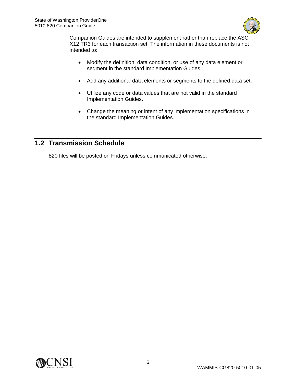

Companion Guides are intended to supplement rather than replace the ASC X12 TR3 for each transaction set. The information in these documents is not intended to:

- Modify the definition, data condition, or use of any data element or segment in the standard Implementation Guides.
- Add any additional data elements or segments to the defined data set.
- Utilize any code or data values that are not valid in the standard Implementation Guides.
- Change the meaning or intent of any implementation specifications in the standard Implementation Guides.

## <span id="page-5-0"></span>**1.2 Transmission Schedule**

820 files will be posted on Fridays unless communicated otherwise.

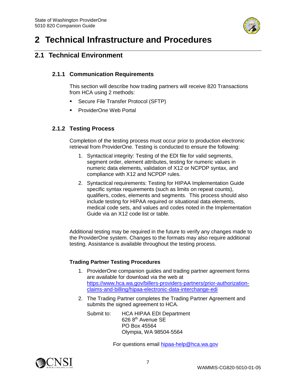

# <span id="page-6-0"></span>**2 Technical Infrastructure and Procedures**

## <span id="page-6-2"></span><span id="page-6-1"></span>**2.1 Technical Environment**

#### **2.1.1 Communication Requirements**

This section will describe how trading partners will receive 820 Transactions from HCA using 2 methods:

- **Secure File Transfer Protocol (SFTP)**
- **ProviderOne Web Portal**

## <span id="page-6-3"></span>**2.1.2 Testing Process**

Completion of the testing process must occur prior to production electronic retrieval from ProviderOne. Testing is conducted to ensure the following:

- 1. Syntactical integrity: Testing of the EDI file for valid segments, segment order, element attributes, testing for numeric values in numeric data elements, validation of X12 or NCPDP syntax, and compliance with X12 and NCPDP rules.
- 2. Syntactical requirements: Testing for HIPAA Implementation Guide specific syntax requirements (such as limits on repeat counts), qualifiers, codes, elements and segments. This process should also include testing for HIPAA required or situational data elements, medical code sets, and values and codes noted in the Implementation Guide via an X12 code list or table.

Additional testing may be required in the future to verify any changes made to the ProviderOne system. Changes to the formats may also require additional testing. Assistance is available throughout the testing process.

#### **Trading Partner Testing Procedures**

- 1. ProviderOne companion guides and trading partner agreement forms are available for download via the web at [https://www.hca.wa.gov/billers-providers-partners/prior-authorization](https://www.hca.wa.gov/billers-providers-partners/prior-authorization-claims-and-billing/hipaa-electronic-data-interchange-edi)[claims-and-billing/hipaa-electronic-data-interchange-edi](https://www.hca.wa.gov/billers-providers-partners/prior-authorization-claims-and-billing/hipaa-electronic-data-interchange-edi)
- 2. The Trading Partner completes the Trading Partner Agreement and submits the signed agreement to HCA.

Submit to: HCA HIPAA EDI Department 626 8th Avenue SE PO Box 45564 Olympia, WA 98504-5564

For questions email [hipaa-help@hca.wa.gov](mailto:hipaa-help@hca.wa.gov)

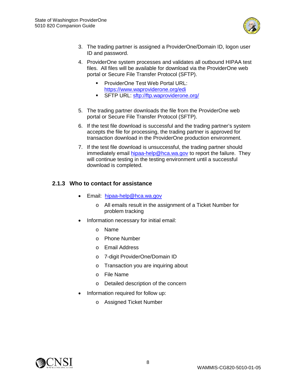

- 3. The trading partner is assigned a ProviderOne/Domain ID, logon user ID and password.
- 4. ProviderOne system processes and validates all outbound HIPAA test files. All files will be available for download via the ProviderOne web portal or Secure File Transfer Protocol (SFTP).
	- **ProviderOne Test Web Portal URL:** <https://www.waproviderone.org/edi>
	- **SFTP URL:<sftp://ftp.waproviderone.org/>**
- 5. The trading partner downloads the file from the ProviderOne web portal or Secure File Transfer Protocol (SFTP).
- 6. If the test file download is successful and the trading partner's system accepts the file for processing, the trading partner is approved for transaction download in the ProviderOne production environment.
- 7. If the test file download is unsuccessful, the trading partner should immediately email [hipaa-help@hca.wa.gov](mailto:hipaa-help@hca.wa.gov) to report the failure. They will continue testing in the testing environment until a successful download is completed.

#### <span id="page-7-0"></span>**2.1.3 Who to contact for assistance**

- Email: [hipaa-help@hca.wa.gov](mailto:hipaa-help@hca.wa.gov)
	- o All emails result in the assignment of a Ticket Number for problem tracking
- Information necessary for initial email:
	- o Name
	- o Phone Number
	- o Email Address
	- o 7-digit ProviderOne/Domain ID
	- o Transaction you are inquiring about
	- o File Name
	- o Detailed description of the concern
- Information required for follow up:
	- o Assigned Ticket Number

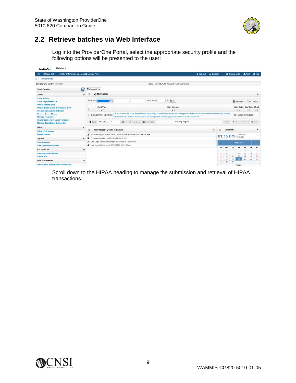

## <span id="page-8-0"></span>**2.2 Retrieve batches via Web Interface**

Log into the ProviderOne Portal, select the appropriate security profile and the following options will be presented to the user:

| My Inbox -<br><b>Provider Gre</b>                                            |                                                                                                                                                                                                                                                                                 |                   |          |                 |                                   |                           |                       |                |
|------------------------------------------------------------------------------|---------------------------------------------------------------------------------------------------------------------------------------------------------------------------------------------------------------------------------------------------------------------------------|-------------------|----------|-----------------|-----------------------------------|---------------------------|-----------------------|----------------|
| Profile: EXT Provider Upload and Download Files<br># Micas, Jodi =<br>o      | Notepad                                                                                                                                                                                                                                                                         | <b>A</b> Reminder |          |                 | C External Links                  |                           | A Print               | <b>O</b> Help  |
| Provider Portal                                                              |                                                                                                                                                                                                                                                                                 |                   |          |                 |                                   |                           |                       |                |
| ProviderOne Id/NPI: 1054080 /                                                | Name: NDC HEALTH AKA CIS TECHNOLOGIES                                                                                                                                                                                                                                           |                   |          |                 |                                   |                           |                       |                |
| <b>Online Services</b>                                                       | e<br>C ManageAlerts                                                                                                                                                                                                                                                             |                   |          |                 |                                   |                           |                       |                |
| Claims                                                                       | <b>My Reminders</b><br>甾                                                                                                                                                                                                                                                        |                   |          |                 |                                   |                           |                       | ۸              |
| <b>Claim Inquiry</b><br>Claim Adjustment/Void<br><b>On-line Claims Entry</b> | $\vee$ 0 Go<br>Read Status<br>Filter By<br>$\overline{\mathbf{v}}$                                                                                                                                                                                                              |                   |          |                 |                                   | Save Filter               |                       | ▼ My Filters ▼ |
| On-line Batch Claims Submission (837)<br><b>Resubmit Denied/Voided Claim</b> | Alert Message<br>Alert Type<br>AT<br>A V                                                                                                                                                                                                                                        |                   |          |                 |                                   | Alert Date<br>AV          | Due Date<br>A T       | Read<br>AY     |
| <b>Retrieve Saved Claims</b><br><b>Manage Templates</b>                      | To all ProviderOne users Independence Day holiday ProviderOne payment date changes Due to the observance of Independence Day, provider<br><b>T BROADCAST MESSAGE</b><br>payments for the week of June 29, 2020 will be impacted. Provider payments for the week of June 29, 20. |                   |          |                 |                                   |                           | 06/16/2020 07/04/2020 |                |
| <b>Create Claims from Saved Templates</b><br>Manage Batch Claim Submission   | Viewing Page: 1<br>C Go + Page Count C SaveToXLS<br>View Page: 1<br>O Delete                                                                                                                                                                                                    |                   |          | <b>CC</b> First |                                   |                           | S Prev → Next >> Last |                |
| Client                                                                       | $\checkmark$                                                                                                                                                                                                                                                                    |                   |          |                 |                                   |                           |                       |                |
| <b>Client Limit Inquiry</b>                                                  | <b>Your Recent Online Activities</b><br>摄                                                                                                                                                                                                                                       | $\blacktriangle$  | 田        | Calendar        |                                   |                           |                       | ۰              |
| <b>Benefit Inquiry</b>                                                       | You have logoed in with MicasJ Account with IP Address 172.25.225.151                                                                                                                                                                                                           | 01:15 PM          |          |                 |                                   | 24 June 2020<br>Wednesday |                       |                |
| Payments                                                                     | Previous Site Visit: 05/19/2020 07:58:17 AM<br>٠<br>v                                                                                                                                                                                                                           |                   |          |                 |                                   |                           |                       |                |
| <b>View Payment</b>                                                          | X Last Login Password Change: 05/19/2020 07:58:50 AM                                                                                                                                                                                                                            |                   | ۰        |                 |                                   | 2020 June                 |                       | a.             |
| <b>View Capitation Payment</b>                                               | Last login failed attempt: 01/23/2020 08:43:50 AM                                                                                                                                                                                                                               |                   | Su       | Mo              | Tu                                | We                        | Th<br>Fr              | Sa             |
| <b>Managed Care</b>                                                          | ٠                                                                                                                                                                                                                                                                               |                   |          |                 |                                   |                           |                       |                |
| <b>View Enrollment Roster</b><br><b>View ETRR</b>                            |                                                                                                                                                                                                                                                                                 |                   | л<br>14  | 8<br>15         | $\mathcal{L}_{\mathcal{L}}$<br>16 | 10<br>17                  | 12<br>11<br>18<br>19  | 13<br>20       |
| <b>Prior Authorization</b>                                                   | w                                                                                                                                                                                                                                                                               |                   | 21<br>28 | 22<br>29        | 23<br>30                          | 24                        | 25<br>26              | $-27$          |
| <b>On-line Prior Authorization Submission</b>                                |                                                                                                                                                                                                                                                                                 |                   |          |                 |                                   | Today                     |                       |                |

Scroll down to the HIPAA heading to manage the submission and retrieval of HIPAA transactions.

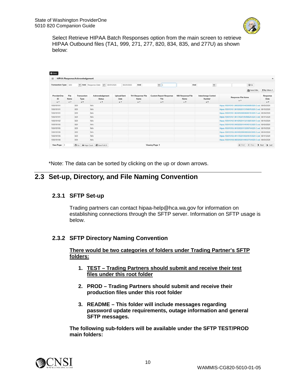

Select Retrieve HIPAA Batch Responses option from the main screen to retrieve HIPAA Outbound files (TA1, 999, 271, 277, 820, 834, 835, and 277U) as shown below:

| 田                         |                    | <b>HIPAA Response/Acknowledgement</b> |                                         |                            |                                         |                                              |                                         |                                      |                                                        |             | ۸                            |
|---------------------------|--------------------|---------------------------------------|-----------------------------------------|----------------------------|-----------------------------------------|----------------------------------------------|-----------------------------------------|--------------------------------------|--------------------------------------------------------|-------------|------------------------------|
| Transaction Type: 820     |                    |                                       | M And Response Date M 06/01/2020        | 06/24/2020                 | And                                     | $\vert$ $\vert$                              | And                                     | $\check{ }$                          |                                                        | $\odot$ Go  |                              |
|                           |                    |                                       |                                         |                            |                                         |                                              |                                         |                                      |                                                        | Save Filter | <b>W</b> My Filters <b>v</b> |
| ProviderOne<br>ID.<br>A V | File<br>Name<br>AV | Transaction<br>Type<br>A V            | Acknowledgement<br><b>Status</b><br>AV. | Upload/Sent<br>Date<br>A Y | <b>TA1 Response File</b><br>Name<br>AY. | <b>Custom Report Response</b><br>File<br>A W | 999 Response File<br><b>Name</b><br>A W | Interchange Control<br>Number<br>A W | Response File Name<br>$A$ $Y$                          |             | Response<br>Date<br>A V      |
| 105010101                 |                    | 820                                   | NA                                      |                            |                                         |                                              |                                         |                                      | Hipaa.105010101.06032020104930699.820.O.out 06/03/2020 |             |                              |
| 105010101                 |                    | 820                                   | N/A                                     |                            |                                         |                                              |                                         |                                      | Hipaa.105010101.06102020113156676.820 O.out 06/10/2020 |             |                              |
| 105010101                 |                    | 820                                   | NIA                                     |                            |                                         |                                              |                                         |                                      | Hipaa.105010101.06242020093649135.820.O.out 06/24/2020 |             |                              |
| 105010101                 |                    | 820                                   | NIA                                     |                            |                                         |                                              |                                         |                                      | Hipaa 105010101.06172020105456625.820.O.out 06/17/2020 |             |                              |
| 105010102                 |                    | 820                                   | N/A                                     |                            |                                         |                                              |                                         |                                      | Hipaa.105010102.06102020113213925.820.O.out.06/10/2020 |             |                              |
| 105010105                 |                    | 820                                   | N/A                                     |                            |                                         |                                              |                                         |                                      | Hipaa.105010105.06032020104946512.820.O.out 06/03/2020 |             |                              |
| 105010105                 |                    | 820                                   | N/A                                     |                            |                                         |                                              |                                         |                                      | Hipaa 105010105 06102020113209704 820 O out 06/10/2020 |             |                              |
| 105010105                 |                    | 820                                   | NIA                                     |                            |                                         |                                              |                                         |                                      | Hipaa 105010105.06242020093655584.820.O.out 06/24/2020 |             |                              |
| 105010105                 |                    | 820                                   | NIA                                     |                            |                                         |                                              |                                         |                                      | Hipaa.105010105.06172020105504510.820.O.out 06/17/2020 |             |                              |
| 105010108                 |                    | 820                                   | N/A                                     |                            |                                         |                                              |                                         |                                      | Hipaa 105010108.06032020104932754.820.O.out 06/03/2020 |             |                              |

\*Note: The data can be sorted by clicking on the up or down arrows.

## <span id="page-9-1"></span><span id="page-9-0"></span>**2.3 Set-up, Directory, and File Naming Convention**

#### **2.3.1 SFTP Set-up**

Trading partners can contact hipaa-help@hca.wa.gov for information on establishing connections through the SFTP server. Information on SFTP usage is below.

#### <span id="page-9-2"></span>**2.3.2 SFTP Directory Naming Convention**

**There would be two categories of folders under Trading Partner's SFTP folders:**

- **1. TEST – Trading Partners should submit and receive their test files under this root folder**
- **2. PROD – Trading Partners should submit and receive their production files under this root folder**
- **3. README – This folder will include messages regarding password update requirements, outage information and general SFTP messages.**

**The following sub-folders will be available under the SFTP TEST/PROD main folders:**

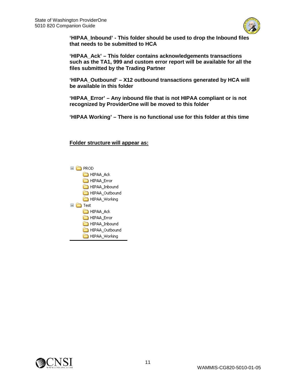

**'HIPAA\_Inbound' - This folder should be used to drop the Inbound files that needs to be submitted to HCA**

**'HIPAA\_Ack' – This folder contains acknowledgements transactions such as the TA1, 999 and custom error report will be available for all the files submitted by the Trading Partner**

**'HIPAA\_Outbound' – X12 outbound transactions generated by HCA will be available in this folder**

**'HIPAA\_Error' – Any inbound file that is not HIPAA compliant or is not recognized by ProviderOne will be moved to this folder**

**'HIPAA Working' – There is no functional use for this folder at this time**

**Folder structure will appear as:**



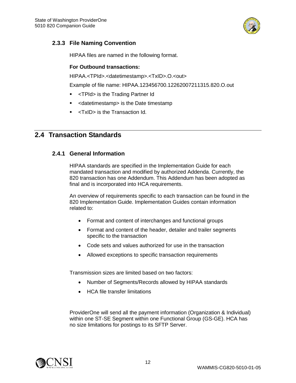

#### <span id="page-11-0"></span>**2.3.3 File Naming Convention**

HIPAA files are named in the following format.

#### **For Outbound transactions:**

HIPAA.<TPId>.<datetimestamp>.<TxID>.O.<out>

Example of file name: HIPAA.123456700.12262007211315.820.O.out

- <TPId> is the Trading Partner Id
- **EXEDE:** <datetimestamp> is the Date timestamp
- **-** <TxID> is the Transaction Id.

## <span id="page-11-2"></span><span id="page-11-1"></span>**2.4 Transaction Standards**

#### **2.4.1 General Information**

HIPAA standards are specified in the Implementation Guide for each mandated transaction and modified by authorized Addenda. Currently, the 820 transaction has one Addendum. This Addendum has been adopted as final and is incorporated into HCA requirements.

An overview of requirements specific to each transaction can be found in the 820 Implementation Guide. Implementation Guides contain information related to:

- Format and content of interchanges and functional groups
- Format and content of the header, detailer and trailer segments specific to the transaction
- Code sets and values authorized for use in the transaction
- Allowed exceptions to specific transaction requirements

Transmission sizes are limited based on two factors:

- Number of Segments/Records allowed by HIPAA standards
- HCA file transfer limitations

ProviderOne will send all the payment information (Organization & Individual) within one ST-SE Segment within one Functional Group (GS-GE). HCA has no size limitations for postings to its SFTP Server.

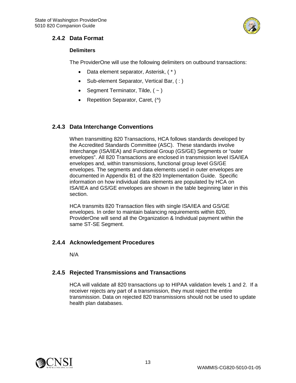

#### <span id="page-12-0"></span>**2.4.2 Data Format**

#### **Delimiters**

The ProviderOne will use the following delimiters on outbound transactions:

- Data element separator, Asterisk, ( \* )
- Sub-element Separator, Vertical Bar, (:)
- Segment Terminator, Tilde,  $($   $\sim$   $)$
- Repetition Separator, Caret, (^)

#### <span id="page-12-1"></span>**2.4.3 Data Interchange Conventions**

When transmitting 820 Transactions, HCA follows standards developed by the Accredited Standards Committee (ASC). These standards involve Interchange (ISA/IEA) and Functional Group (GS/GE) Segments or "outer envelopes". All 820 Transactions are enclosed in transmission level ISA/IEA envelopes and, within transmissions, functional group level GS/GE envelopes. The segments and data elements used in outer envelopes are documented in Appendix B1 of the 820 Implementation Guide. Specific information on how individual data elements are populated by HCA on ISA/IEA and GS/GE envelopes are shown in the table beginning later in this section.

HCA transmits 820 Transaction files with single ISA/IEA and GS/GE envelopes. In order to maintain balancing requirements within 820, ProviderOne will send all the Organization & Individual payment within the same ST-SE Segment.

#### <span id="page-12-2"></span>**2.4.4 Acknowledgement Procedures**

N/A

#### <span id="page-12-3"></span>**2.4.5 Rejected Transmissions and Transactions**

HCA will validate all 820 transactions up to HIPAA validation levels 1 and 2. If a receiver rejects any part of a transmission, they must reject the entire transmission. Data on rejected 820 transmissions should not be used to update health plan databases.

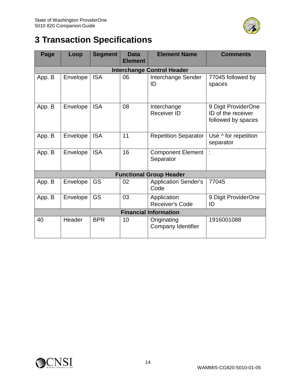

# <span id="page-13-0"></span>**3 Transaction Specifications**

| Page   | Loop     | <b>Segment</b> | <b>Data</b><br><b>Element</b> | <b>Element Name</b>                   | <b>Comments</b>                                                 |
|--------|----------|----------------|-------------------------------|---------------------------------------|-----------------------------------------------------------------|
|        |          |                |                               | <b>Interchange Control Header</b>     |                                                                 |
| App. B | Envelope | <b>ISA</b>     | 06                            | Interchange Sender<br>ID              | 77045 followed by<br>spaces                                     |
| App. B | Envelope | <b>ISA</b>     | 08                            | Interchange<br><b>Receiver ID</b>     | 9 Digit ProviderOne<br>ID of the receiver<br>followed by spaces |
| App. B | Envelope | <b>ISA</b>     | 11                            | <b>Repetition Separator</b>           | Use ^ for repetition<br>separator                               |
| App. B | Envelope | <b>ISA</b>     | 16                            | <b>Component Element</b><br>Separator | t                                                               |
|        |          |                |                               | <b>Functional Group Header</b>        |                                                                 |
| App. B | Envelope | GS             | 02                            | <b>Application Sender's</b><br>Code   | 77045                                                           |
| App. B | Envelope | GS             | 03                            | Application<br>Receiver's Code        | 9 Digit ProviderOne<br>ID                                       |
|        |          |                |                               | <b>Financial Information</b>          |                                                                 |
| 40     | Header   | <b>BPR</b>     | 10                            | Originating<br>Company Identifier     | 1916001088                                                      |

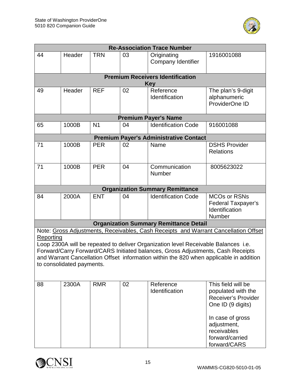

| <b>Re-Association Trace Number</b>                                                                                                                                                                                                                                                                                                                                                               |        |                |    |                                                       |                                                                                                                                                                                  |
|--------------------------------------------------------------------------------------------------------------------------------------------------------------------------------------------------------------------------------------------------------------------------------------------------------------------------------------------------------------------------------------------------|--------|----------------|----|-------------------------------------------------------|----------------------------------------------------------------------------------------------------------------------------------------------------------------------------------|
| 44                                                                                                                                                                                                                                                                                                                                                                                               | Header | <b>TRN</b>     | 03 | Originating<br><b>Company Identifier</b>              | 1916001088                                                                                                                                                                       |
|                                                                                                                                                                                                                                                                                                                                                                                                  |        |                |    | <b>Premium Receivers Identification</b><br><b>Key</b> |                                                                                                                                                                                  |
| 49                                                                                                                                                                                                                                                                                                                                                                                               | Header | <b>REF</b>     | 02 | Reference<br>Identification                           | The plan's 9-digit<br>alphanumeric<br>ProviderOne ID                                                                                                                             |
|                                                                                                                                                                                                                                                                                                                                                                                                  |        |                |    | <b>Premium Payer's Name</b>                           |                                                                                                                                                                                  |
| 65                                                                                                                                                                                                                                                                                                                                                                                               | 1000B  | N <sub>1</sub> | 04 | <b>Identification Code</b>                            | 916001088                                                                                                                                                                        |
|                                                                                                                                                                                                                                                                                                                                                                                                  |        |                |    | <b>Premium Payer's Administrative Contact</b>         |                                                                                                                                                                                  |
| 71                                                                                                                                                                                                                                                                                                                                                                                               | 1000B  | <b>PER</b>     | 02 | Name                                                  | <b>DSHS Provider</b><br><b>Relations</b>                                                                                                                                         |
| 71                                                                                                                                                                                                                                                                                                                                                                                               | 1000B  | <b>PER</b>     | 04 | Communication<br>Number                               | 8005623022                                                                                                                                                                       |
|                                                                                                                                                                                                                                                                                                                                                                                                  |        |                |    | <b>Organization Summary Remittance</b>                |                                                                                                                                                                                  |
| 84                                                                                                                                                                                                                                                                                                                                                                                               | 2000A  | <b>ENT</b>     | 04 | <b>Identification Code</b>                            | <b>MCOs or RSNs</b><br>Federal Taxpayer's<br>Identification<br>Number                                                                                                            |
|                                                                                                                                                                                                                                                                                                                                                                                                  |        |                |    | <b>Organization Summary Remittance Detail</b>         |                                                                                                                                                                                  |
| Note: Gross Adjustments, Receivables, Cash Receipts and Warrant Cancellation Offset<br>Reporting<br>Loop 2300A will be repeated to deliver Organization level Receivable Balances i.e.<br>Forward/Carry Forward/CARS Initiated balances, Gross Adjustments, Cash Receipts<br>and Warrant Cancellation Offset information within the 820 when applicable in addition<br>to consolidated payments. |        |                |    |                                                       |                                                                                                                                                                                  |
| 88                                                                                                                                                                                                                                                                                                                                                                                               | 2300A  | <b>RMR</b>     | 02 | Reference<br>Identification                           | This field will be<br>populated with the<br><b>Receiver's Provider</b><br>One ID (9 digits)<br>In case of gross<br>adjustment,<br>receivables<br>forward/carried<br>forward/CARS |

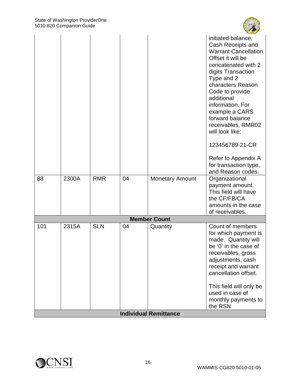

|     |       |            |    |                              | initiated balance,                               |
|-----|-------|------------|----|------------------------------|--------------------------------------------------|
|     |       |            |    |                              | Cash Receipts and<br><b>Warrant Cancellation</b> |
|     |       |            |    |                              | Offset it will be                                |
|     |       |            |    |                              | concatenated with 2                              |
|     |       |            |    |                              | digits Transaction                               |
|     |       |            |    |                              | Type and 2<br>characters Reason                  |
|     |       |            |    |                              | Code to provide                                  |
|     |       |            |    |                              | additional                                       |
|     |       |            |    |                              | information. For<br>example a CARS               |
|     |       |            |    |                              | forward balance                                  |
|     |       |            |    |                              | receivables, RMR02                               |
|     |       |            |    |                              | will look like:                                  |
|     |       |            |    |                              | 123456789-21-CR                                  |
|     |       |            |    |                              | Refer to Appendix A                              |
|     |       |            |    |                              | for transaction type,                            |
| 88  | 2300A | <b>RMR</b> | 04 | <b>Monetary Amount</b>       | and Reason codes.<br>Organizational              |
|     |       |            |    |                              | payment amount.                                  |
|     |       |            |    |                              | This field will have                             |
|     |       |            |    |                              | the CF/FB/CA                                     |
|     |       |            |    |                              | amounts in the case<br>of receivables.           |
|     |       |            |    | <b>Member Count</b>          |                                                  |
| 101 | 2315A | <b>SLN</b> | 04 | Quantity                     | Count of members                                 |
|     |       |            |    |                              | for which payment is                             |
|     |       |            |    |                              | made. Quantity will<br>be '0' in the case of     |
|     |       |            |    |                              | receivables, gross                               |
|     |       |            |    |                              | adjustments, cash                                |
|     |       |            |    |                              | receipt and warrant                              |
|     |       |            |    |                              | cancellation offset.                             |
|     |       |            |    |                              | This field will only be                          |
|     |       |            |    |                              | used in case of                                  |
|     |       |            |    |                              | monthly payments to<br>the RSN                   |
|     |       |            |    | <b>Individual Remittance</b> |                                                  |

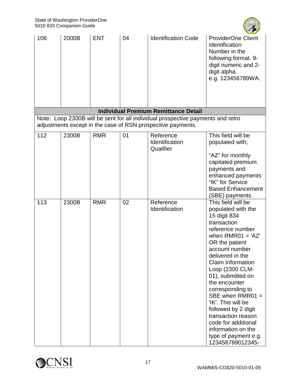

| 106 | 2000B | <b>ENT</b> | 04 | <b>Identification Code</b>                                                                                                                     | <b>ProviderOne Client</b><br>Identification<br>Number in the<br>following format. 9-<br>digit numeric and 2-<br>digit alpha.<br>e.g. 123456789WA.                                                                                                                                                                                                                                                                                                                     |
|-----|-------|------------|----|------------------------------------------------------------------------------------------------------------------------------------------------|-----------------------------------------------------------------------------------------------------------------------------------------------------------------------------------------------------------------------------------------------------------------------------------------------------------------------------------------------------------------------------------------------------------------------------------------------------------------------|
|     |       |            |    | <b>Individual Premium Remittance Detail</b>                                                                                                    |                                                                                                                                                                                                                                                                                                                                                                                                                                                                       |
|     |       |            |    | Note: Loop 2300B will be sent for all individual prospective payments and retro<br>adjustments except in the case of RSN prospective payments. |                                                                                                                                                                                                                                                                                                                                                                                                                                                                       |
| 112 | 2300B | <b>RMR</b> | 01 | Reference<br>Identification<br>Qualifier                                                                                                       | This field will be<br>populated with;<br>"AZ" for monthly<br>capitated premium<br>payments and<br>enhanced payments<br>"IK" for Service<br><b>Based Enhancement</b><br>(SBE) payments.                                                                                                                                                                                                                                                                                |
| 113 | 2300B | <b>RMR</b> | 02 | Reference<br>Identification                                                                                                                    | This field will be<br>populated with the<br>15 digit 834<br>transaction<br>reference number<br>when $RMRO1 = 'AZ'$<br>OR the patient<br>account number<br>delivered in the<br><b>Claim Information</b><br>Loop (2300 CLM-<br>01), submitted on<br>the encounter<br>corresponding to<br>SBE when $RMR01 =$<br>'IK'. This will be<br>followed by 2 digit<br>transaction reason<br>code for additional<br>information on the<br>type of payment e.g.<br>123456789012345- |

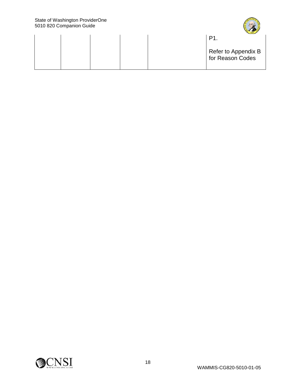

|  | $ 1259 -$<br>P٠                         |
|--|-----------------------------------------|
|  | Refer to Appendix B<br>for Reason Codes |

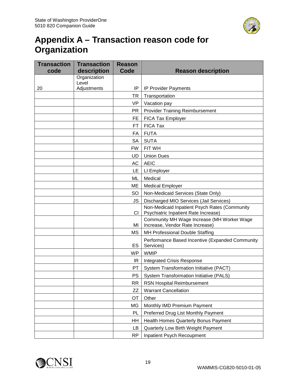

# <span id="page-18-0"></span>**Appendix A – Transaction reason code for Organization**

| <b>Transaction</b> | <b>Transaction</b>    | <b>Reason</b> |                                                                                       |  |
|--------------------|-----------------------|---------------|---------------------------------------------------------------------------------------|--|
| code               | description           | Code          | <b>Reason description</b>                                                             |  |
|                    | Organization<br>Level |               |                                                                                       |  |
| 20                 | Adjustments           | IP            | <b>IP Provider Payments</b>                                                           |  |
|                    |                       | TR            | Transportation                                                                        |  |
|                    |                       | VP            | Vacation pay                                                                          |  |
|                    |                       | <b>PR</b>     | <b>Provider Training Reimbursement</b>                                                |  |
|                    |                       | FE            | FICA Tax Employer                                                                     |  |
|                    |                       | FT.           | <b>FICA Tax</b>                                                                       |  |
|                    |                       | FA            | <b>FUTA</b>                                                                           |  |
|                    |                       | <b>SA</b>     | <b>SUTA</b>                                                                           |  |
|                    |                       | <b>FW</b>     | FIT WH                                                                                |  |
|                    |                       | UD            | <b>Union Dues</b>                                                                     |  |
|                    |                       | AC            | <b>AEIC</b>                                                                           |  |
|                    |                       | LE            | LI Employer                                                                           |  |
|                    |                       | ML            | Medical                                                                               |  |
|                    |                       | ME            | <b>Medical Employer</b>                                                               |  |
|                    |                       | <b>SO</b>     | Non-Medicaid Services (State Only)                                                    |  |
|                    |                       | JS            | Discharged MIO Services (Jail Services)                                               |  |
|                    |                       | CI            | Non-Medicaid Inpatient Psych Rates (Community<br>Psychiatric Inpatient Rate Increase) |  |
|                    |                       | MI            | Community MH Wage Increase (MH Worker Wage<br>Increase, Vendor Rate Increase)         |  |
|                    |                       | ΜS            | MH Professional Double Staffing                                                       |  |
|                    |                       | ES            | Performance Based Incentive (Expanded Community<br>Services)                          |  |
|                    |                       | <b>WP</b>     | <b>WMIP</b>                                                                           |  |
|                    |                       | IR            | <b>Integrated Crisis Response</b>                                                     |  |
|                    |                       | PT.           | System Transformation Initiative (PACT)                                               |  |
|                    |                       | <b>PS</b>     | System Transformation Initiative (PALS)                                               |  |
|                    |                       | <b>RR</b>     | <b>RSN Hospital Reimbursement</b>                                                     |  |
|                    |                       | ZZ            | <b>Warrant Cancellation</b>                                                           |  |
|                    |                       | OT            | Other                                                                                 |  |
|                    |                       | MG            | Monthly IMD Premium Payment                                                           |  |
|                    |                       | PL            | Preferred Drug List Monthly Payment                                                   |  |
|                    |                       | HH            | Health Homes Quarterly Bonus Payment                                                  |  |
|                    |                       | LB            | Quarterly Low Birth Weight Payment                                                    |  |
|                    |                       | <b>RP</b>     | Inpatient Psych Recoupment                                                            |  |

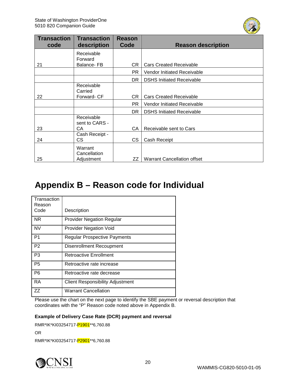

| <b>Transaction</b><br>code | <b>Transaction</b><br>description | <b>Reason</b><br>Code | <b>Reason description</b>          |
|----------------------------|-----------------------------------|-----------------------|------------------------------------|
|                            | Receivable                        |                       |                                    |
|                            | Forward                           |                       |                                    |
| 21                         | Balance-FB                        | CR.                   | <b>Cars Created Receivable</b>     |
|                            |                                   | <b>PR</b>             | <b>Vendor Initiated Receivable</b> |
|                            |                                   | DR.                   | <b>DSHS Initiated Receivable</b>   |
|                            | Receivable                        |                       |                                    |
|                            | Carried                           |                       |                                    |
| 22                         | Forward- CF                       | CR.                   | <b>Cars Created Receivable</b>     |
|                            |                                   | PR                    | Vendor Initiated Receivable        |
|                            |                                   | DR.                   | <b>DSHS Initiated Receivable</b>   |
|                            | Receivable                        |                       |                                    |
|                            | sent to CARS -                    |                       |                                    |
| 23                         | CA                                | CA                    | Receivable sent to Cars            |
|                            | Cash Receipt -                    |                       |                                    |
| 24                         | CS                                | <b>CS</b>             | Cash Receipt                       |
|                            | Warrant                           |                       |                                    |
|                            | Cancellation                      |                       |                                    |
| 25                         | Adjustment                        | ZZ                    | <b>Warrant Cancellation offset</b> |

## <span id="page-19-0"></span>**Appendix B – Reason code for Individual**

| Transaction<br>Reason<br>Code | Description                             |
|-------------------------------|-----------------------------------------|
| NR.                           | <b>Provider Negation Regular</b>        |
| <b>NV</b>                     | <b>Provider Negation Void</b>           |
| P1                            | <b>Regular Prospective Payments</b>     |
| P <sub>2</sub>                | Disenrollment Recoupment                |
| P <sub>3</sub>                | <b>Retroactive Enrollment</b>           |
| P <sub>5</sub>                | Retroactive rate increase               |
| P <sub>6</sub>                | Retroactive rate decrease               |
| <b>RA</b>                     | <b>Client Responsibility Adjustment</b> |
| 77                            | <b>Warrant Cancellation</b>             |

Please use the chart on the next page to identify the SBE payment or reversal description that coordinates with the "P" Reason code noted above in Appendix B.

#### **Example of Delivery Case Rate (DCR) payment and reversal**

RMR\*IK\*KI03254717-P1901\*\*6,760.88 OR RMR\*IK\*KI03254717-P2901\*\*6,760.88